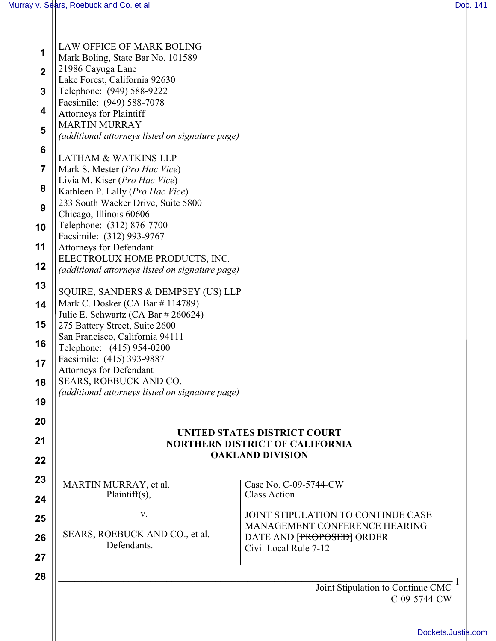| LAW OFFICE OF MARK BOLING<br>Mark Boling, State Bar No. 101589 |                                              |  |
|----------------------------------------------------------------|----------------------------------------------|--|
| 21986 Cayuga Lane                                              |                                              |  |
| Lake Forest, California 92630                                  |                                              |  |
| Telephone: (949) 588-9222                                      |                                              |  |
| Facsimile: (949) 588-7078                                      |                                              |  |
| <b>Attorneys for Plaintiff</b>                                 |                                              |  |
| <b>MARTIN MURRAY</b>                                           |                                              |  |
| (additional attorneys listed on signature page)                |                                              |  |
| <b>LATHAM &amp; WATKINS LLP</b>                                |                                              |  |
| Mark S. Mester (Pro Hac Vice)                                  |                                              |  |
| Livia M. Kiser (Pro Hac Vice)                                  |                                              |  |
| Kathleen P. Lally (Pro Hac Vice)                               |                                              |  |
| 233 South Wacker Drive, Suite 5800                             |                                              |  |
| Chicago, Illinois 60606                                        |                                              |  |
| Telephone: (312) 876-7700                                      |                                              |  |
| Facsimile: (312) 993-9767<br><b>Attorneys for Defendant</b>    |                                              |  |
| ELECTROLUX HOME PRODUCTS, INC.                                 |                                              |  |
| (additional attorneys listed on signature page)                |                                              |  |
|                                                                |                                              |  |
| SQUIRE, SANDERS & DEMPSEY (US) LLP                             |                                              |  |
| Mark C. Dosker (CA Bar #114789)                                |                                              |  |
| Julie E. Schwartz (CA Bar # 260624)                            |                                              |  |
| 275 Battery Street, Suite 2600                                 |                                              |  |
| San Francisco, California 94111<br>Telephone: (415) 954-0200   |                                              |  |
| Facsimile: (415) 393-9887                                      |                                              |  |
| Attorneys for Defendant                                        |                                              |  |
| SEARS, ROEBUCK AND CO.                                         |                                              |  |
| (additional attorneys listed on signature page)                |                                              |  |
|                                                                |                                              |  |
|                                                                |                                              |  |
| <b>UNITED STATES DISTRICT COURT</b>                            |                                              |  |
| <b>NORTHERN DISTRICT OF CALIFORNIA</b>                         |                                              |  |
|                                                                | <b>OAKLAND DIVISION</b>                      |  |
|                                                                |                                              |  |
| MARTIN MURRAY, et al.<br>Plaintiff(s),                         | Case No. C-09-5744-CW<br><b>Class Action</b> |  |
|                                                                |                                              |  |
| V.                                                             | JOINT STIPULATION TO CONTINUE CASE           |  |
| SEARS, ROEBUCK AND CO., et al.                                 | MANAGEMENT CONFERENCE HEARING                |  |
| Defendants.                                                    | DATE AND [PROPOSED] ORDER                    |  |
|                                                                | Civil Local Rule 7-12                        |  |
|                                                                |                                              |  |
|                                                                |                                              |  |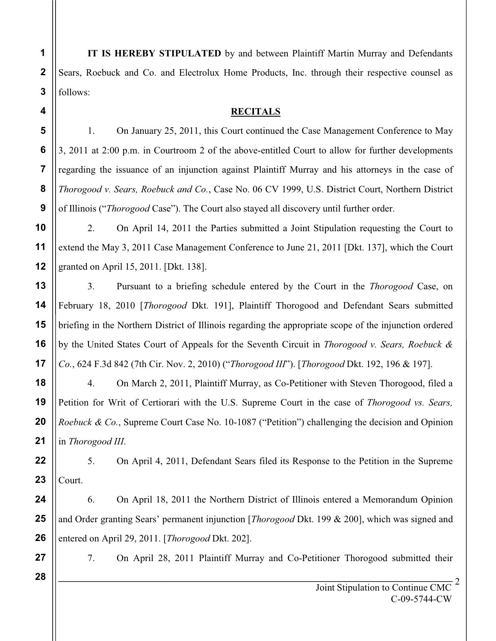**IT IS HEREBY STIPULATED** by and between Plaintiff Martin Murray and Defendants Sears, Roebuck and Co. and Electrolux Home Products, Inc. through their respective counsel as follows:

## **RECITALS**

1. On January 25, 2011, this Court continued the Case Management Conference to May 3, 2011 at 2:00 p.m. in Courtroom 2 of the above-entitled Court to allow for further developments regarding the issuance of an injunction against Plaintiff Murray and his attorneys in the case of *Thorogood v. Sears, Roebuck and Co.*, Case No. 06 CV 1999, U.S. District Court, Northern District of Illinois ("*Thorogood* Case"). The Court also stayed all discovery until further order.

2. On April 14, 2011 the Parties submitted a Joint Stipulation requesting the Court to extend the May 3, 2011 Case Management Conference to June 21, 2011 [Dkt. 137], which the Court granted on April 15, 2011. [Dkt. 138].

3. Pursuant to a briefing schedule entered by the Court in the *Thorogood* Case, on February 18, 2010 [*Thorogood* Dkt. 191], Plaintiff Thorogood and Defendant Sears submitted briefing in the Northern District of Illinois regarding the appropriate scope of the injunction ordered by the United States Court of Appeals for the Seventh Circuit in *Thorogood v. Sears, Roebuck & Co.*, 624 F.3d 842 (7th Cir. Nov. 2, 2010) ("*Thorogood III*"). [*Thorogood* Dkt. 192, 196 & 197].

4. On March 2, 2011, Plaintiff Murray, as Co-Petitioner with Steven Thorogood, filed a Petition for Writ of Certiorari with the U.S. Supreme Court in the case of *Thorogood vs. Sears, Roebuck & Co.*, Supreme Court Case No. 10-1087 ("Petition") challenging the decision and Opinion in *Thorogood III*.

5. On April 4, 2011, Defendant Sears filed its Response to the Petition in the Supreme Court.

6. On April 18, 2011 the Northern District of Illinois entered a Memorandum Opinion and Order granting Sears' permanent injunction [*Thorogood* Dkt. 199 & 200], which was signed and entered on April 29, 2011. [*Thorogood* Dkt. 202].

7. On April 28, 2011 Plaintiff Murray and Co-Petitioner Thorogood submitted their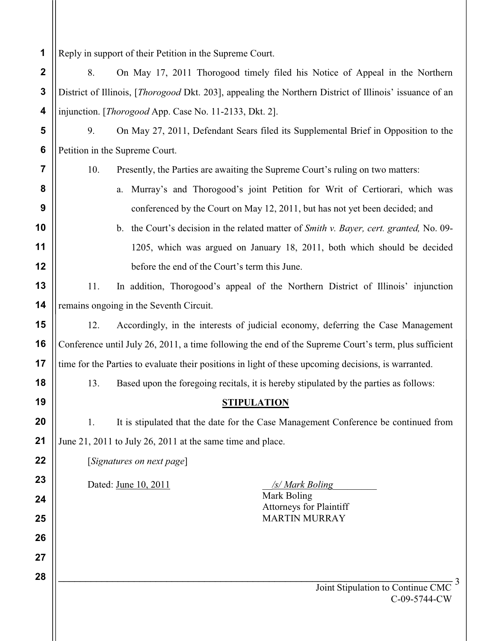**1** Reply in support of their Petition in the Supreme Court.

**7**

**8**

**9**

**10**

**11**

**12**

**13**

**14**

**15**

**16**

**17**

**18**

**19**

**20**

**21**

**22**

**23**

**24**

**25**

**26**

**27**

**28**

**2 3 4** 8. On May 17, 2011 Thorogood timely filed his Notice of Appeal in the Northern District of Illinois, [*Thorogood* Dkt. 203], appealing the Northern District of Illinois' issuance of an injunction. [*Thorogood* App. Case No. 11-2133, Dkt. 2].

**5 6** 9. On May 27, 2011, Defendant Sears filed its Supplemental Brief in Opposition to the Petition in the Supreme Court.

10. Presently, the Parties are awaiting the Supreme Court's ruling on two matters:

- a. Murray's and Thorogood's joint Petition for Writ of Certiorari, which was conferenced by the Court on May 12, 2011, but has not yet been decided; and
- b. the Court's decision in the related matter of *Smith v. Bayer, cert. granted,* No. 09- 1205, which was argued on January 18, 2011, both which should be decided before the end of the Court's term this June.

11. In addition, Thorogood's appeal of the Northern District of Illinois' injunction remains ongoing in the Seventh Circuit.

12. Accordingly, in the interests of judicial economy, deferring the Case Management Conference until July 26, 2011, a time following the end of the Supreme Court's term, plus sufficient time for the Parties to evaluate their positions in light of these upcoming decisions, is warranted.

13. Based upon the foregoing recitals, it is hereby stipulated by the parties as follows:

## **STIPULATION**

1. It is stipulated that the date for the Case Management Conference be continued from June 21, 2011 to July 26, 2011 at the same time and place.

[*Signatures on next page*]

Dated: <u>June 10, 2011</u> */s/ Mark Boling* 

Mark Boling Attorneys for Plaintiff MARTIN MURRAY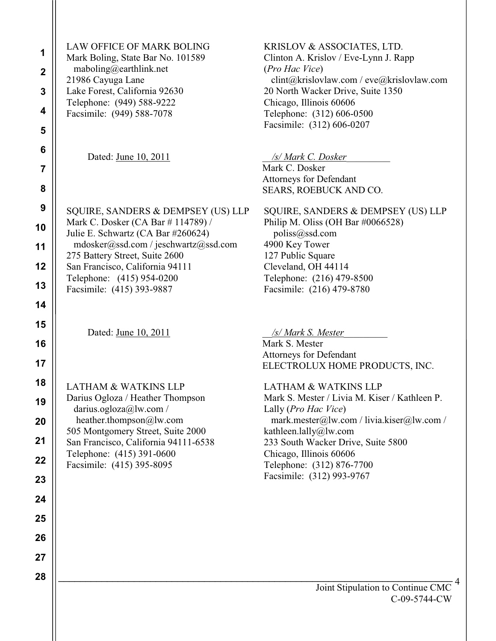| 1<br>$\boldsymbol{2}$<br>3<br>4<br>5                     | LAW OFFICE OF MARK BOLING<br>Mark Boling, State Bar No. 101589<br>maboling@earthlink.net<br>21986 Cayuga Lane<br>Lake Forest, California 92630<br>Telephone: (949) 588-9222<br>Facsimile: (949) 588-7078                                                                              | KRISLOV & ASSOCIATES, LTD.<br>Clinton A. Krislov / Eve-Lynn J. Rapp<br>(Pro Hac Vice)<br>clint@krislovlaw.com / eve@krislovlaw.com<br>20 North Wacker Drive, Suite 1350<br>Chicago, Illinois 60606<br>Telephone: (312) 606-0500<br>Facsimile: (312) 606-0207                                              |
|----------------------------------------------------------|---------------------------------------------------------------------------------------------------------------------------------------------------------------------------------------------------------------------------------------------------------------------------------------|-----------------------------------------------------------------------------------------------------------------------------------------------------------------------------------------------------------------------------------------------------------------------------------------------------------|
| 6<br>7<br>8                                              | Dated: June 10, 2011                                                                                                                                                                                                                                                                  | /s/ Mark C. Dosker<br>Mark C. Dosker<br>Attorneys for Defendant<br>SEARS, ROEBUCK AND CO.                                                                                                                                                                                                                 |
| 9<br>10<br>11<br>12<br>13<br>14                          | SQUIRE, SANDERS & DEMPSEY (US) LLP<br>Mark C. Dosker (CA Bar # 114789) /<br>Julie E. Schwartz (CA Bar #260624)<br>mdosker@ssd.com / jeschwartz@ssd.com<br>275 Battery Street, Suite 2600<br>San Francisco, California 94111<br>Telephone: (415) 954-0200<br>Facsimile: (415) 393-9887 | SQUIRE, SANDERS & DEMPSEY (US) LLP<br>Philip M. Oliss (OH Bar #0066528)<br>poliss@ssd.com<br>4900 Key Tower<br>127 Public Square<br>Cleveland, OH 44114<br>Telephone: (216) 479-8500<br>Facsimile: (216) 479-8780                                                                                         |
| 15<br>16<br>17                                           | Dated: June 10, 2011                                                                                                                                                                                                                                                                  | /s/ Mark S. Mester<br>Mark S. Mester<br>Attorneys for Defendant<br>ELECTROLUX HOME PRODUCTS, INC.                                                                                                                                                                                                         |
| 18<br>19<br>20<br>21<br>22<br>23<br>24<br>25<br>26<br>27 | <b>LATHAM &amp; WATKINS LLP</b><br>Darius Ogloza / Heather Thompson<br>darius.ogloza@lw.com /<br>heather.thompson@lw.com<br>505 Montgomery Street, Suite 2000<br>San Francisco, California 94111-6538<br>Telephone: (415) 391-0600<br>Facsimile: (415) 395-8095                       | <b>LATHAM &amp; WATKINS LLP</b><br>Mark S. Mester / Livia M. Kiser / Kathleen P.<br>Lally (Pro Hac Vice)<br>mark.mester@lw.com / livia.kiser@lw.com /<br>kathleen.lally@lw.com<br>233 South Wacker Drive, Suite 5800<br>Chicago, Illinois 60606<br>Telephone: (312) 876-7700<br>Facsimile: (312) 993-9767 |
| 28                                                       |                                                                                                                                                                                                                                                                                       | Joint Stipulation to Continue CMC<br>C-09-5744-CW                                                                                                                                                                                                                                                         |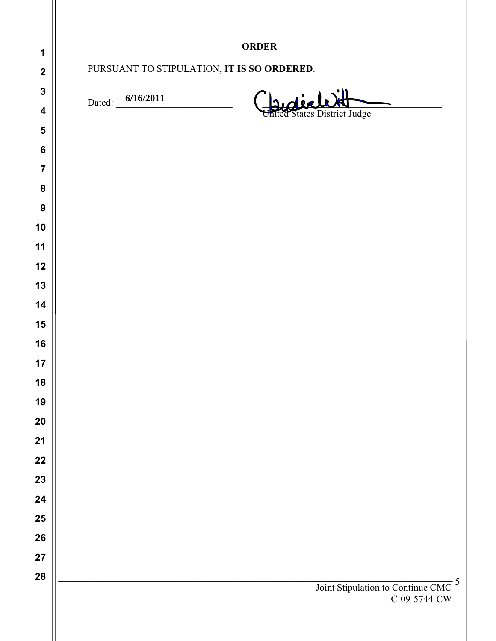| 1                       | <b>ORDER</b>                               |                                                                |  |
|-------------------------|--------------------------------------------|----------------------------------------------------------------|--|
| $\mathbf{2}$            | PURSUANT TO STIPULATION, IT IS SO ORDERED. |                                                                |  |
| $\mathbf{3}$            |                                            |                                                                |  |
| $\overline{\mathbf{4}}$ | Dated: 6/16/2011                           | $\overrightarrow{d}$ is<br>United States District Judge        |  |
| $\overline{\mathbf{5}}$ |                                            |                                                                |  |
| $\bf 6$                 |                                            |                                                                |  |
| $\overline{\mathbf{7}}$ |                                            |                                                                |  |
| ${\bf 8}$               |                                            |                                                                |  |
| $\boldsymbol{9}$        |                                            |                                                                |  |
| 10                      |                                            |                                                                |  |
| 11                      |                                            |                                                                |  |
| 12                      |                                            |                                                                |  |
| 13<br>14                |                                            |                                                                |  |
| 15                      |                                            |                                                                |  |
| 16                      |                                            |                                                                |  |
| 17                      |                                            |                                                                |  |
| 18                      |                                            |                                                                |  |
| 19                      |                                            |                                                                |  |
| ${\bf 20}$              |                                            |                                                                |  |
| 21                      |                                            |                                                                |  |
| 22                      |                                            |                                                                |  |
| 23                      |                                            |                                                                |  |
| 24                      |                                            |                                                                |  |
| 25                      |                                            |                                                                |  |
| 26                      |                                            |                                                                |  |
| 27                      |                                            |                                                                |  |
| 28                      |                                            | Joint Stipulation to Continue CMC <sup>5</sup><br>C-09-5744-CW |  |